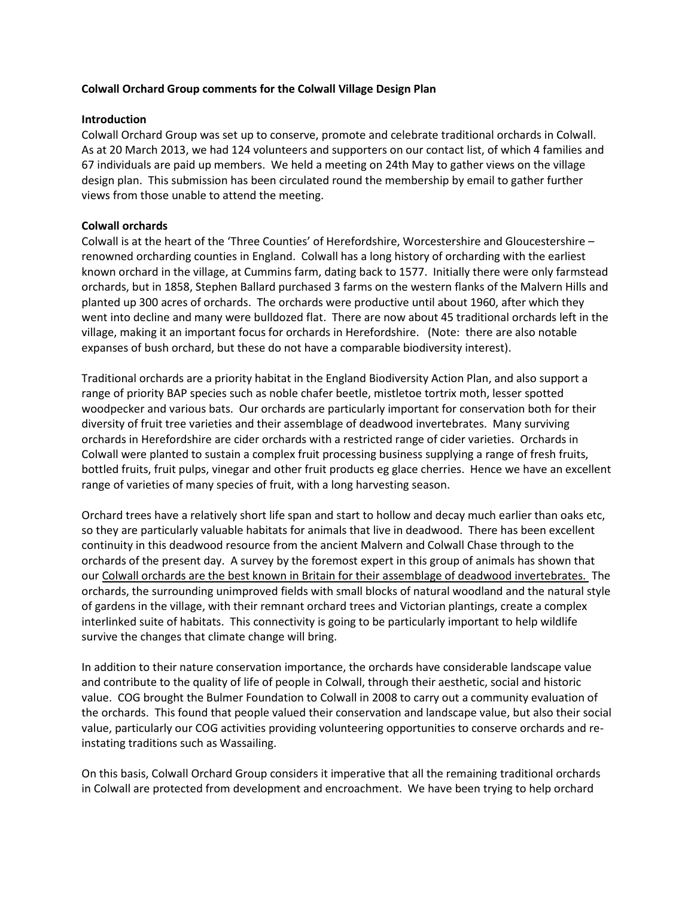## **Colwall Orchard Group comments for the Colwall Village Design Plan**

### **Introduction**

Colwall Orchard Group was set up to conserve, promote and celebrate traditional orchards in Colwall. As at 20 March 2013, we had 124 volunteers and supporters on our contact list, of which 4 families and 67 individuals are paid up members. We held a meeting on 24th May to gather views on the village design plan. This submission has been circulated round the membership by email to gather further views from those unable to attend the meeting.

## **Colwall orchards**

Colwall is at the heart of the 'Three Counties' of Herefordshire, Worcestershire and Gloucestershire – renowned orcharding counties in England. Colwall has a long history of orcharding with the earliest known orchard in the village, at Cummins farm, dating back to 1577. Initially there were only farmstead orchards, but in 1858, Stephen Ballard purchased 3 farms on the western flanks of the Malvern Hills and planted up 300 acres of orchards. The orchards were productive until about 1960, after which they went into decline and many were bulldozed flat. There are now about 45 traditional orchards left in the village, making it an important focus for orchards in Herefordshire. (Note: there are also notable expanses of bush orchard, but these do not have a comparable biodiversity interest).

Traditional orchards are a priority habitat in the England Biodiversity Action Plan, and also support a range of priority BAP species such as noble chafer beetle, mistletoe tortrix moth, lesser spotted woodpecker and various bats. Our orchards are particularly important for conservation both for their diversity of fruit tree varieties and their assemblage of deadwood invertebrates. Many surviving orchards in Herefordshire are cider orchards with a restricted range of cider varieties. Orchards in Colwall were planted to sustain a complex fruit processing business supplying a range of fresh fruits, bottled fruits, fruit pulps, vinegar and other fruit products eg glace cherries. Hence we have an excellent range of varieties of many species of fruit, with a long harvesting season.

Orchard trees have a relatively short life span and start to hollow and decay much earlier than oaks etc, so they are particularly valuable habitats for animals that live in deadwood. There has been excellent continuity in this deadwood resource from the ancient Malvern and Colwall Chase through to the orchards of the present day. A survey by the foremost expert in this group of animals has shown that our Colwall orchards are the best known in Britain for their assemblage of deadwood invertebrates. The orchards, the surrounding unimproved fields with small blocks of natural woodland and the natural style of gardens in the village, with their remnant orchard trees and Victorian plantings, create a complex interlinked suite of habitats. This connectivity is going to be particularly important to help wildlife survive the changes that climate change will bring.

In addition to their nature conservation importance, the orchards have considerable landscape value and contribute to the quality of life of people in Colwall, through their aesthetic, social and historic value. COG brought the Bulmer Foundation to Colwall in 2008 to carry out a community evaluation of the orchards. This found that people valued their conservation and landscape value, but also their social value, particularly our COG activities providing volunteering opportunities to conserve orchards and reinstating traditions such as Wassailing.

On this basis, Colwall Orchard Group considers it imperative that all the remaining traditional orchards in Colwall are protected from development and encroachment. We have been trying to help orchard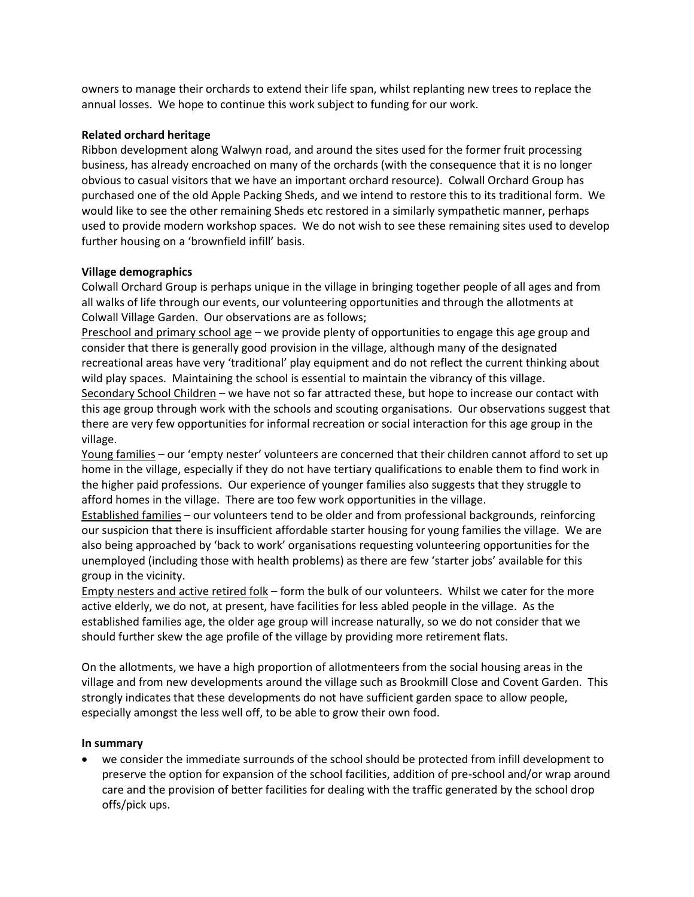owners to manage their orchards to extend their life span, whilst replanting new trees to replace the annual losses. We hope to continue this work subject to funding for our work.

## **Related orchard heritage**

Ribbon development along Walwyn road, and around the sites used for the former fruit processing business, has already encroached on many of the orchards (with the consequence that it is no longer obvious to casual visitors that we have an important orchard resource). Colwall Orchard Group has purchased one of the old Apple Packing Sheds, and we intend to restore this to its traditional form. We would like to see the other remaining Sheds etc restored in a similarly sympathetic manner, perhaps used to provide modern workshop spaces. We do not wish to see these remaining sites used to develop further housing on a 'brownfield infill' basis.

# **Village demographics**

Colwall Orchard Group is perhaps unique in the village in bringing together people of all ages and from all walks of life through our events, our volunteering opportunities and through the allotments at Colwall Village Garden. Our observations are as follows;

Preschool and primary school age – we provide plenty of opportunities to engage this age group and consider that there is generally good provision in the village, although many of the designated recreational areas have very 'traditional' play equipment and do not reflect the current thinking about wild play spaces. Maintaining the school is essential to maintain the vibrancy of this village.

Secondary School Children – we have not so far attracted these, but hope to increase our contact with this age group through work with the schools and scouting organisations. Our observations suggest that there are very few opportunities for informal recreation or social interaction for this age group in the village.

Young families – our 'empty nester' volunteers are concerned that their children cannot afford to set up home in the village, especially if they do not have tertiary qualifications to enable them to find work in the higher paid professions. Our experience of younger families also suggests that they struggle to afford homes in the village. There are too few work opportunities in the village.

Established families – our volunteers tend to be older and from professional backgrounds, reinforcing our suspicion that there is insufficient affordable starter housing for young families the village. We are also being approached by 'back to work' organisations requesting volunteering opportunities for the unemployed (including those with health problems) as there are few 'starter jobs' available for this group in the vicinity.

Empty nesters and active retired folk – form the bulk of our volunteers. Whilst we cater for the more active elderly, we do not, at present, have facilities for less abled people in the village. As the established families age, the older age group will increase naturally, so we do not consider that we should further skew the age profile of the village by providing more retirement flats.

On the allotments, we have a high proportion of allotmenteers from the social housing areas in the village and from new developments around the village such as Brookmill Close and Covent Garden. This strongly indicates that these developments do not have sufficient garden space to allow people, especially amongst the less well off, to be able to grow their own food.

### **In summary**

 we consider the immediate surrounds of the school should be protected from infill development to preserve the option for expansion of the school facilities, addition of pre-school and/or wrap around care and the provision of better facilities for dealing with the traffic generated by the school drop offs/pick ups.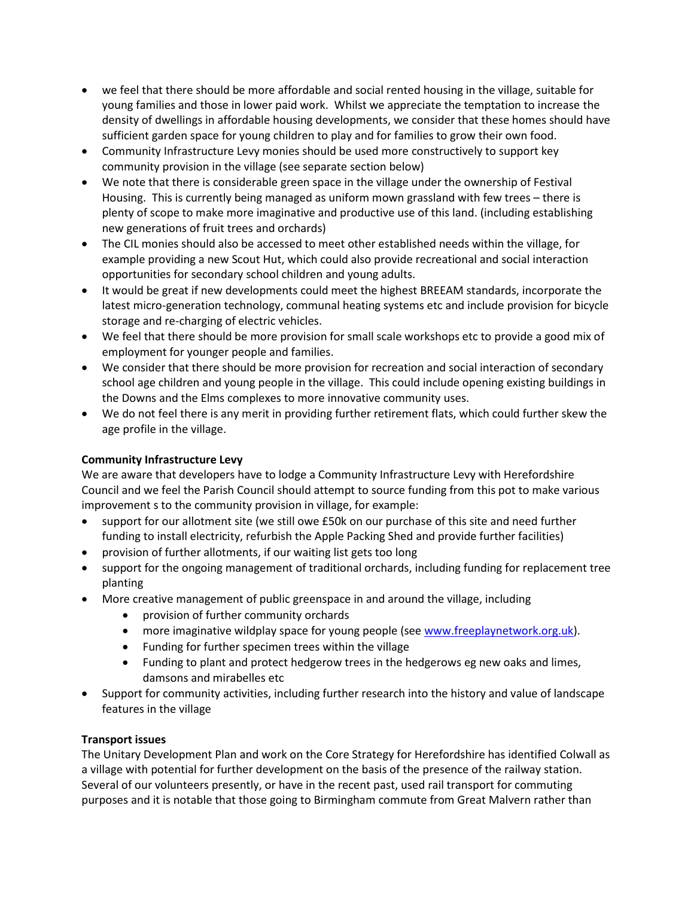- we feel that there should be more affordable and social rented housing in the village, suitable for young families and those in lower paid work. Whilst we appreciate the temptation to increase the density of dwellings in affordable housing developments, we consider that these homes should have sufficient garden space for young children to play and for families to grow their own food.
- Community Infrastructure Levy monies should be used more constructively to support key community provision in the village (see separate section below)
- We note that there is considerable green space in the village under the ownership of Festival Housing. This is currently being managed as uniform mown grassland with few trees – there is plenty of scope to make more imaginative and productive use of this land. (including establishing new generations of fruit trees and orchards)
- The CIL monies should also be accessed to meet other established needs within the village, for example providing a new Scout Hut, which could also provide recreational and social interaction opportunities for secondary school children and young adults.
- It would be great if new developments could meet the highest BREEAM standards, incorporate the latest micro-generation technology, communal heating systems etc and include provision for bicycle storage and re-charging of electric vehicles.
- We feel that there should be more provision for small scale workshops etc to provide a good mix of employment for younger people and families.
- We consider that there should be more provision for recreation and social interaction of secondary school age children and young people in the village. This could include opening existing buildings in the Downs and the Elms complexes to more innovative community uses.
- We do not feel there is any merit in providing further retirement flats, which could further skew the age profile in the village.

# **Community Infrastructure Levy**

We are aware that developers have to lodge a Community Infrastructure Levy with Herefordshire Council and we feel the Parish Council should attempt to source funding from this pot to make various improvement s to the community provision in village, for example:

- support for our allotment site (we still owe £50k on our purchase of this site and need further funding to install electricity, refurbish the Apple Packing Shed and provide further facilities)
- provision of further allotments, if our waiting list gets too long
- support for the ongoing management of traditional orchards, including funding for replacement tree planting
- More creative management of public greenspace in and around the village, including
	- provision of further community orchards
	- more imaginative wildplay space for young people (see [www.freeplaynetwork.org.uk\)](http://www.freeplaynetwork.org.uk/).
	- Funding for further specimen trees within the village
	- Funding to plant and protect hedgerow trees in the hedgerows eg new oaks and limes, damsons and mirabelles etc
- Support for community activities, including further research into the history and value of landscape features in the village

# **Transport issues**

The Unitary Development Plan and work on the Core Strategy for Herefordshire has identified Colwall as a village with potential for further development on the basis of the presence of the railway station. Several of our volunteers presently, or have in the recent past, used rail transport for commuting purposes and it is notable that those going to Birmingham commute from Great Malvern rather than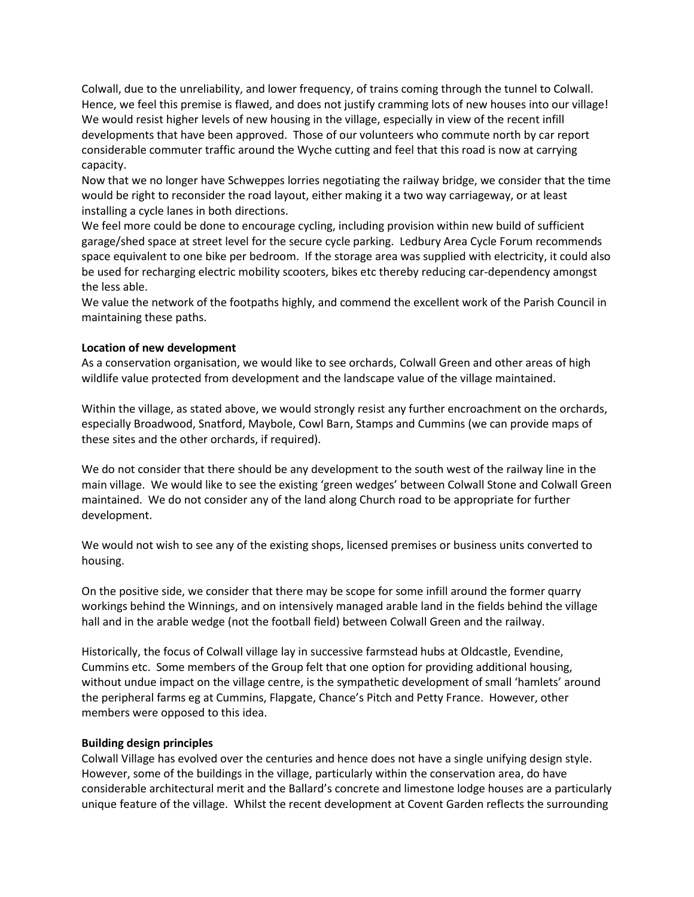Colwall, due to the unreliability, and lower frequency, of trains coming through the tunnel to Colwall. Hence, we feel this premise is flawed, and does not justify cramming lots of new houses into our village! We would resist higher levels of new housing in the village, especially in view of the recent infill developments that have been approved. Those of our volunteers who commute north by car report considerable commuter traffic around the Wyche cutting and feel that this road is now at carrying capacity.

Now that we no longer have Schweppes lorries negotiating the railway bridge, we consider that the time would be right to reconsider the road layout, either making it a two way carriageway, or at least installing a cycle lanes in both directions.

We feel more could be done to encourage cycling, including provision within new build of sufficient garage/shed space at street level for the secure cycle parking. Ledbury Area Cycle Forum recommends space equivalent to one bike per bedroom. If the storage area was supplied with electricity, it could also be used for recharging electric mobility scooters, bikes etc thereby reducing car-dependency amongst the less able.

We value the network of the footpaths highly, and commend the excellent work of the Parish Council in maintaining these paths.

## **Location of new development**

As a conservation organisation, we would like to see orchards, Colwall Green and other areas of high wildlife value protected from development and the landscape value of the village maintained.

Within the village, as stated above, we would strongly resist any further encroachment on the orchards, especially Broadwood, Snatford, Maybole, Cowl Barn, Stamps and Cummins (we can provide maps of these sites and the other orchards, if required).

We do not consider that there should be any development to the south west of the railway line in the main village. We would like to see the existing 'green wedges' between Colwall Stone and Colwall Green maintained. We do not consider any of the land along Church road to be appropriate for further development.

We would not wish to see any of the existing shops, licensed premises or business units converted to housing.

On the positive side, we consider that there may be scope for some infill around the former quarry workings behind the Winnings, and on intensively managed arable land in the fields behind the village hall and in the arable wedge (not the football field) between Colwall Green and the railway.

Historically, the focus of Colwall village lay in successive farmstead hubs at Oldcastle, Evendine, Cummins etc. Some members of the Group felt that one option for providing additional housing, without undue impact on the village centre, is the sympathetic development of small 'hamlets' around the peripheral farms eg at Cummins, Flapgate, Chance's Pitch and Petty France. However, other members were opposed to this idea.

### **Building design principles**

Colwall Village has evolved over the centuries and hence does not have a single unifying design style. However, some of the buildings in the village, particularly within the conservation area, do have considerable architectural merit and the Ballard's concrete and limestone lodge houses are a particularly unique feature of the village. Whilst the recent development at Covent Garden reflects the surrounding